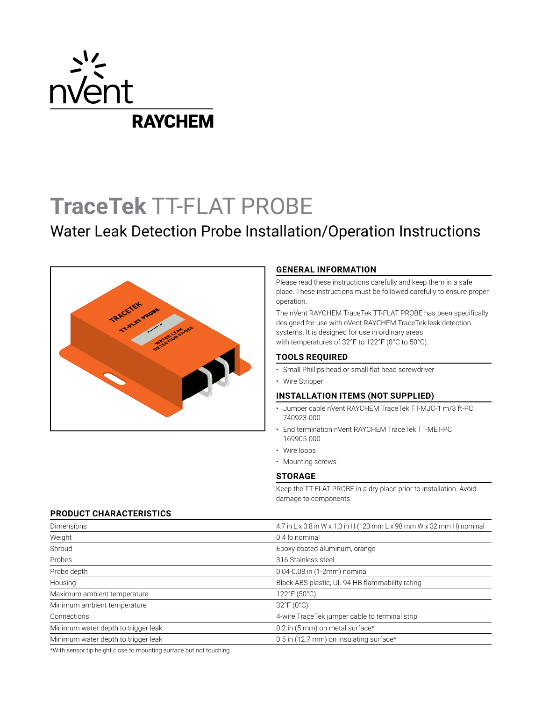

# **TraceTek** TT-FLAT PROBE

# Water Leak Detection Probe Installation/Operation Instructions



# **GENERAL INFORMATION**

Please read these instructions carefully and keep them in a safe place. These instructions must be followed carefully to ensure proper operation.

The nVent RAYCHEM TraceTek TT-FLAT PROBE has been specifically designed for use with nVent RAYCHEM TraceTek leak detection systems. It is designed for use in ordinary areas with temperatures of 32°F to 122°F (0°C to 50°C).

# **TOOLS REQUIRED**

- Small Phillips head or small flat head screwdriver
- Wire Stripper

# **INSTALLATION ITEMS (NOT SUPPLIED)**

- Jumper cable nVent RAYCHEM TraceTek TT-MJC-1 m/3 ft-PC 740923-000
- End termination nVent RAYCHEM TraceTek TT-MET-PC 169905-000
- Wire loops
- Mounting screws

### **STORAGE**

Keep the TT-FLAT PROBE in a dry place prior to installation. Avoid damage to components.

# **PRODUCT CHARACTERISTICS**

| Dimensions                          | 4.7 in L x 3.8 in W x 1.3 in H (120 mm L x 98 mm W x 32 mm H) nominal |
|-------------------------------------|-----------------------------------------------------------------------|
| Weight                              | 0.4 lb nominal                                                        |
| Shroud                              | Epoxy coated aluminum, orange                                         |
| Probes                              | 316 Stainless steel                                                   |
| Probe depth                         | 0.04-0.08 in (1-2mm) nominal                                          |
| Housing                             | Black ABS plastic, UL 94 HB flammability rating                       |
| Maximum ambient temperature         | $122^{\circ}F(50^{\circ}C)$                                           |
| Minimum ambient temperature         | $32^{\circ}F(0^{\circ}C)$                                             |
| Connections                         | 4-wire TraceTek jumper cable to terminal strip                        |
| Minimum water depth to trigger leak | 0.2 in (5 mm) on metal surface*                                       |
| Minimum water depth to trigger leak | 0.5 in (12.7 mm) on insulating surface*                               |

\*With sensor tip height close to mounting surface but not touching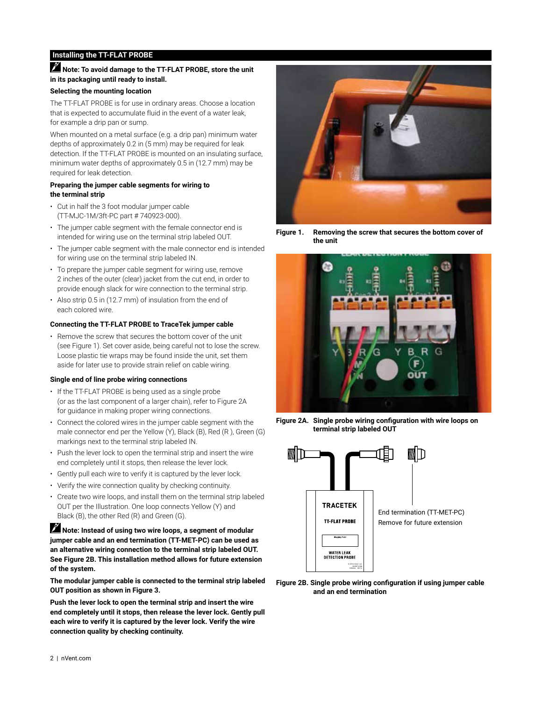# **Installing the TT-FLAT PROBE**

# **Note: To avoid damage to the TT-FLAT PROBE, store the unit in its packaging until ready to install.**

# **Selecting the mounting location**

The TT-FLAT PROBE is for use in ordinary areas. Choose a location that is expected to accumulate fluid in the event of a water leak, for example a drip pan or sump.

When mounted on a metal surface (e.g. a drip pan) minimum water depths of approximately 0.2 in (5 mm) may be required for leak detection. If the TT-FLAT PROBE is mounted on an insulating surface, minimum water depths of approximately 0.5 in (12.7 mm) may be required for leak detection.

## **Preparing the jumper cable segments for wiring to the terminal strip**

- Cut in half the 3 foot modular jumper cable (TT-MJC-1M/3ft-PC part # 740923-000).
- The jumper cable segment with the female connector end is intended for wiring use on the terminal strip labeled OUT.
- The jumper cable segment with the male connector end is intended for wiring use on the terminal strip labeled IN.
- To prepare the jumper cable segment for wiring use, remove 2 inches of the outer (clear) jacket from the cut end, in order to provide enough slack for wire connection to the terminal strip.
- Also strip 0.5 in (12.7 mm) of insulation from the end of each colored wire.

# **Connecting the TT-FLAT PROBE to TraceTek jumper cable**

• Remove the screw that secures the bottom cover of the unit (see Figure 1). Set cover aside, being careful not to lose the screw. Loose plastic tie wraps may be found inside the unit, set them aside for later use to provide strain relief on cable wiring.

# **Single end of line probe wiring connections**

- If the TT-FLAT PROBE is being used as a single probe (or as the last component of a larger chain), refer to Figure 2A for guidance in making proper wiring connections.
- Connect the colored wires in the jumper cable segment with the male connector end per the Yellow (Y), Black (B), Red (R ), Green (G) markings next to the terminal strip labeled IN.
- Push the lever lock to open the terminal strip and insert the wire end completely until it stops, then release the lever lock.
- Gently pull each wire to verify it is captured by the lever lock.
- Verify the wire connection quality by checking continuity.
- Create two wire loops, and install them on the terminal strip labeled OUT per the Illustration. One loop connects Yellow (Y) and Black (B), the other Red (R) and Green (G).

 **Note: Instead of using two wire loops, a segment of modular jumper cable and an end termination (TT-MET-PC) can be used as an alternative wiring connection to the terminal strip labeled OUT. See Figure 2B. This installation method allows for future extension of the system.**

**The modular jumper cable is connected to the terminal strip labeled OUT position as shown in Figure 3.**

**Push the lever lock to open the terminal strip and insert the wire end completely until it stops, then release the lever lock. Gently pull each wire to verify it is captured by the lever lock. Verify the wire connection quality by checking continuity.**



**Figure 1. Removing the screw that secures the bottom cover of the unit**



**Figure 2A. Single probe wiring configuration with wire loops on terminal strip labeled OUT**



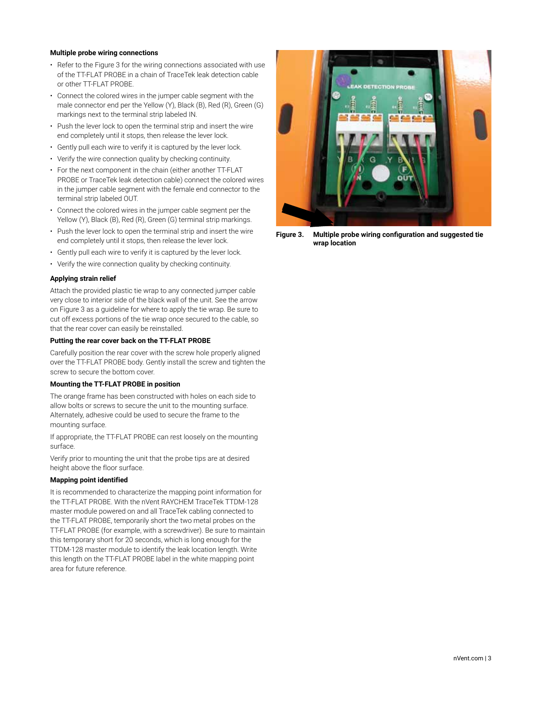#### **Multiple probe wiring connections**

- Refer to the Figure 3 for the wiring connections associated with use of the TT-FLAT PROBE in a chain of TraceTek leak detection cable or other TT-FLAT PROBE.
- Connect the colored wires in the jumper cable segment with the male connector end per the Yellow (Y), Black (B), Red (R), Green (G) markings next to the terminal strip labeled IN.
- Push the lever lock to open the terminal strip and insert the wire end completely until it stops, then release the lever lock.
- Gently pull each wire to verify it is captured by the lever lock.
- Verify the wire connection quality by checking continuity.
- For the next component in the chain (either another TT-FLAT PROBE or TraceTek leak detection cable) connect the colored wires in the jumper cable segment with the female end connector to the terminal strip labeled OUT.
- Connect the colored wires in the jumper cable segment per the Yellow (Y), Black (B), Red (R), Green (G) terminal strip markings.
- Push the lever lock to open the terminal strip and insert the wire end completely until it stops, then release the lever lock.
- Gently pull each wire to verify it is captured by the lever lock.
- Verify the wire connection quality by checking continuity.

#### **Applying strain relief**

Attach the provided plastic tie wrap to any connected jumper cable very close to interior side of the black wall of the unit. See the arrow on Figure 3 as a guideline for where to apply the tie wrap. Be sure to cut off excess portions of the tie wrap once secured to the cable, so that the rear cover can easily be reinstalled.

#### **Putting the rear cover back on the TT-FLAT PROBE**

Carefully position the rear cover with the screw hole properly aligned over the TT-FLAT PROBE body. Gently install the screw and tighten the screw to secure the bottom cover.

#### **Mounting the TT-FLAT PROBE in position**

The orange frame has been constructed with holes on each side to allow bolts or screws to secure the unit to the mounting surface. Alternately, adhesive could be used to secure the frame to the mounting surface.

If appropriate, the TT-FLAT PROBE can rest loosely on the mounting surface.

Verify prior to mounting the unit that the probe tips are at desired height above the floor surface.

#### **Mapping point identified**

It is recommended to characterize the mapping point information for the TT-FLAT PROBE. With the nVent RAYCHEM TraceTek TTDM-128 master module powered on and all TraceTek cabling connected to the TT-FLAT PROBE, temporarily short the two metal probes on the TT-FLAT PROBE (for example, with a screwdriver). Be sure to maintain this temporary short for 20 seconds, which is long enough for the TTDM-128 master module to identify the leak location length. Write this length on the TT-FLAT PROBE label in the white mapping point area for future reference.



**Figure 3. Multiple probe wiring configuration and suggested tie wrap location**